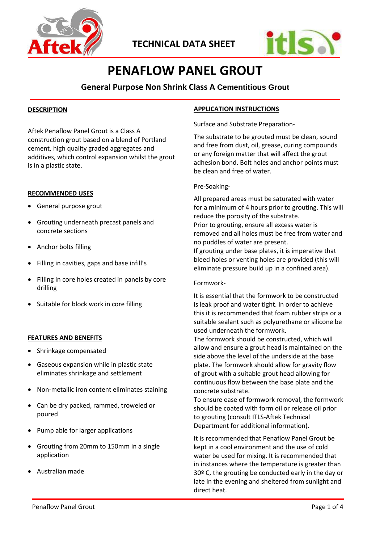



# **PENAFLOW PANEL GROUT**

## **General Purpose Non Shrink Class A Cementitious Grout**

## **DESCRIPTION**

Aftek Penaflow Panel Grout is a Class A construction grout based on a blend of Portland cement, high quality graded aggregates and additives, which control expansion whilst the grout is in a plastic state.

#### **RECOMMENDED USES**

- General purpose grout
- Grouting underneath precast panels and concrete sections
- Anchor bolts filling
- Filling in cavities, gaps and base infill's
- Filling in core holes created in panels by core drilling
- Suitable for block work in core filling

#### **FEATURES AND BENEFITS**

- Shrinkage compensated
- Gaseous expansion while in plastic state eliminates shrinkage and settlement
- Non-metallic iron content eliminates staining
- Can be dry packed, rammed, troweled or poured
- Pump able for larger applications
- Grouting from 20mm to 150mm in a single application
- Australian made

### **APPLICATION INSTRUCTIONS**

Surface and Substrate Preparation-

The substrate to be grouted must be clean, sound and free from dust, oil, grease, curing compounds or any foreign matter that will affect the grout adhesion bond. Bolt holes and anchor points must be clean and free of water.

#### Pre-Soaking-

All prepared areas must be saturated with water for a minimum of 4 hours prior to grouting. This will reduce the porosity of the substrate. Prior to grouting, ensure all excess water is removed and all holes must be free from water and no puddles of water are present. If grouting under base plates, it is imperative that bleed holes or venting holes are provided (this will eliminate pressure build up in a confined area).

#### Formwork-

It is essential that the formwork to be constructed is leak proof and water tight. In order to achieve this it is recommended that foam rubber strips or a suitable sealant such as polyurethane or silicone be used underneath the formwork.

The formwork should be constructed, which will allow and ensure a grout head is maintained on the side above the level of the underside at the base plate. The formwork should allow for gravity flow of grout with a suitable grout head allowing for continuous flow between the base plate and the concrete substrate.

To ensure ease of formwork removal, the formwork should be coated with form oil or release oil prior to grouting (consult ITLS-Aftek Technical Department for additional information).

It is recommended that Penaflow Panel Grout be kept in a cool environment and the use of cold water be used for mixing. It is recommended that in instances where the temperature is greater than 30º C, the grouting be conducted early in the day or late in the evening and sheltered from sunlight and direct heat.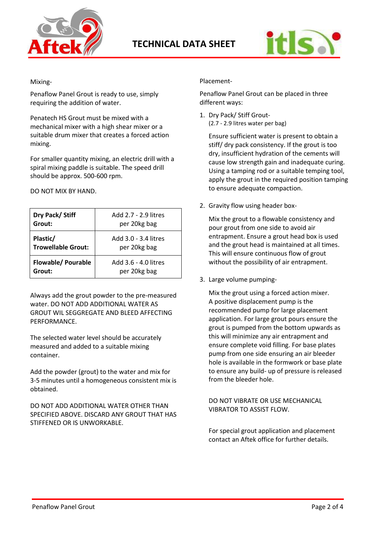



## Mixing-

Penaflow Panel Grout is ready to use, simply requiring the addition of water.

Penatech HS Grout must be mixed with a mechanical mixer with a high shear mixer or a suitable drum mixer that creates a forced action mixing.

For smaller quantity mixing, an electric drill with a spiral mixing paddle is suitable. The speed drill should be approx. 500-600 rpm.

DO NOT MIX BY HAND.

| Dry Pack/Stiff            | Add 2.7 - 2.9 litres |  |
|---------------------------|----------------------|--|
| Grout:                    | per 20kg bag         |  |
| Plastic/                  | Add 3.0 - 3.4 litres |  |
| <b>Trowellable Grout:</b> | per 20kg bag         |  |
| <b>Flowable/ Pourable</b> | Add 3.6 - 4.0 litres |  |
| Grout:                    | per 20kg bag         |  |

Always add the grout powder to the pre-measured water. DO NOT ADD ADDITIONAL WATER AS GROUT WIL SEGGREGATE AND BLEED AFFECTING PERFORMANCE.

The selected water level should be accurately measured and added to a suitable mixing container.

Add the powder (grout) to the water and mix for 3-5 minutes until a homogeneous consistent mix is obtained.

DO NOT ADD ADDITIONAL WATER OTHER THAN SPECIFIED ABOVE. DISCARD ANY GROUT THAT HAS STIFFENED OR IS UNWORKABLE.

## Placement-

Penaflow Panel Grout can be placed in three different ways:

1. Dry Pack/ Stiff Grout- (2.7 - 2.9 litres water per bag)

> Ensure sufficient water is present to obtain a stiff/ dry pack consistency. If the grout is too dry, insufficient hydration of the cements will cause low strength gain and inadequate curing. Using a tamping rod or a suitable temping tool, apply the grout in the required position tamping to ensure adequate compaction.

2. Gravity flow using header box-

Mix the grout to a flowable consistency and pour grout from one side to avoid air entrapment. Ensure a grout head box is used and the grout head is maintained at all times. This will ensure continuous flow of grout without the possibility of air entrapment.

3. Large volume pumping-

Mix the grout using a forced action mixer. A positive displacement pump is the recommended pump for large placement application. For large grout pours ensure the grout is pumped from the bottom upwards as this will minimize any air entrapment and ensure complete void filling. For base plates pump from one side ensuring an air bleeder hole is available in the formwork or base plate to ensure any build- up of pressure is released from the bleeder hole.

DO NOT VIBRATE OR USE MECHANICAL VIBRATOR TO ASSIST FLOW.

For special grout application and placement contact an Aftek office for further details.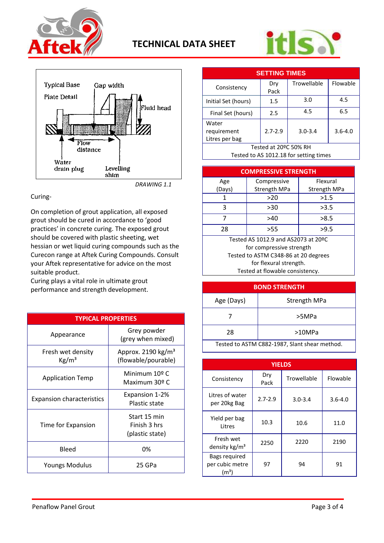





*DRAWING 1.1*

## Curing-

On completion of grout application, all exposed grout should be cured in accordance to 'good practices' in concrete curing. The exposed grout should be covered with plastic sheeting, wet hessian or wet liquid curing compounds such as the Curecon range at Aftek Curing Compounds. Consult your Aftek representative for advice on the most suitable product.

Curing plays a vital role in ultimate grout performance and strength development.

| <b>TYPICAL PROPERTIES</b>            |                                                       |  |  |  |
|--------------------------------------|-------------------------------------------------------|--|--|--|
| Appearance                           | Grey powder<br>(grey when mixed)                      |  |  |  |
| Fresh wet density<br>$\text{Kg/m}^3$ | Approx. 2190 kg/m <sup>3</sup><br>(flowable/pourable) |  |  |  |
| <b>Application Temp</b>              | Minimum 10º C<br>Maximum 30º C                        |  |  |  |
| <b>Expansion characteristics</b>     | Expansion 1-2%<br><b>Plastic state</b>                |  |  |  |
| Time for Expansion                   | Start 15 min<br>Finish 3 hrs<br>(plastic state)       |  |  |  |
| Bleed                                | 0%                                                    |  |  |  |
| <b>Youngs Modulus</b>                | 25 GPa                                                |  |  |  |

| <b>SETTING TIMES</b>                   |             |             |             |  |  |
|----------------------------------------|-------------|-------------|-------------|--|--|
| Consistency                            | Dry<br>Pack | Trowellable | Flowable    |  |  |
| Initial Set (hours)                    | 1.5         | 3.0         | 4.5         |  |  |
| Final Set (hours)                      | 2.5         | 4.5         | 6.5         |  |  |
| Water<br>requirement<br>Litres per bag | $2.7 - 2.9$ | $3.0 - 3.4$ | $3.6 - 4.0$ |  |  |
| Tested at 20ºC 50% RH                  |             |             |             |  |  |
| Tested to AS 1012.18 for setting times |             |             |             |  |  |

**COMPRESSIVE STRENGTH** Age (Days) **Compressive** Strength MPa Flexural Strength MPa 1  $>20$   $>1.5$ 3  $>30$   $>3.5$ 7 >40 >8.5 28 >55 >9.5

Tested AS 1012.9 and AS2073 at 20ºC for compressive strength Tested to ASTM C348-86 at 20 degrees for flexural strength. Tested at flowable consistency.

| <b>BOND STRENGTH</b>                          |                     |  |  |
|-----------------------------------------------|---------------------|--|--|
| Age (Days)                                    | <b>Strength MPa</b> |  |  |
|                                               | >5MPa               |  |  |
| 28                                            | >10MPa              |  |  |
| Tested to ASTM C882-1987, Slant shear method. |                     |  |  |

| <b>YIELDS</b>                                   |             |             |             |  |  |
|-------------------------------------------------|-------------|-------------|-------------|--|--|
| Consistency                                     | Dry<br>Pack | Trowellable | Flowable    |  |  |
| Litres of water<br>per 20kg Bag                 | $2.7 - 2.9$ | $3.0 - 3.4$ | $3.6 - 4.0$ |  |  |
| Yield per bag<br>Litres                         | 10.3        | 10.6        | 11.0        |  |  |
| Fresh wet<br>density kg/m <sup>3</sup>          | 2250        | 2220        | 2190        |  |  |
| Bags required<br>per cubic metre<br>$\rm (m^3)$ | 97          | 94          | 91          |  |  |